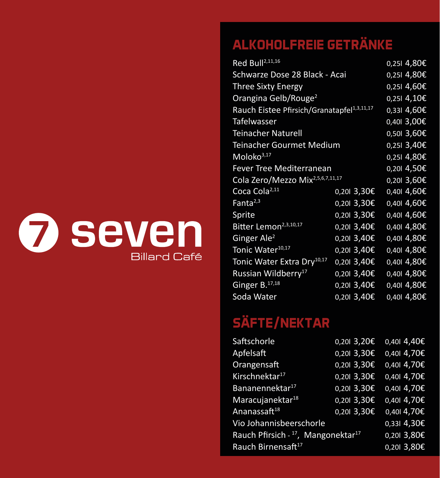

### **ALKOHOLFREIE GETRÄNKE**

| Red Bull <sup>2,11,16</sup>                            |               | 0,251 4,80€   |  |
|--------------------------------------------------------|---------------|---------------|--|
| Schwarze Dose 28 Black - Acai                          |               | $0,251$ 4,80€ |  |
| <b>Three Sixty Energy</b>                              |               | $0,251$ 4,60€ |  |
| Orangina Gelb/Rouge <sup>2</sup>                       |               | 0,251,4,10E   |  |
| Rauch Eistee Pfirsich/Granatapfel <sup>1,3,11,17</sup> |               | 0,331,4,60€   |  |
| Tafelwasser                                            |               | 0,40  3,00€   |  |
| <b>Teinacher Naturell</b>                              |               | $0,501$ 3,60€ |  |
| Teinacher Gourmet Medium                               |               | $0,251$ 3,40€ |  |
| Moloko $3,17$                                          |               | 0,251,4,80E   |  |
| <b>Fever Tree Mediterranean</b>                        |               | $0,201$ 4,50€ |  |
| Cola Zero/Mezzo Mix <sup>2,5,6,7,11,17</sup>           |               | $0,201$ 3,60€ |  |
| Coca Cola <sup>2,11</sup>                              | 0,20I 3,30€   | 0,401 4,60€   |  |
| Fanta <sup>2,3</sup>                                   | 0,20I 3,30€   | 0,401 4,60€   |  |
| Sprite                                                 | 0,20I 3,30€   | 0,401 4,60€   |  |
| Bitter Lemon <sup>2,3,10,17</sup>                      | $0,201$ 3,40€ | 0,401 4,80€   |  |
| Ginger Ale <sup>2</sup>                                | $0,201$ 3,40€ | 0,401 4,80€   |  |
| Tonic Water <sup>10,17</sup>                           | 0,20I 3,40€   | $0,401$ 4,80€ |  |
| Tonic Water Extra Dry <sup>10,17</sup>                 | 0,20I 3,40€   | 0,401 4,80€   |  |
| Russian Wildberry <sup>17</sup>                        | 0,20I 3,40€   | 0,401 4,80€   |  |
| Ginger B. <sup>17,18</sup>                             | 0,201 3,40€   | 0,401 4,80€   |  |
| Soda Water                                             | 0,201 3,40€   | 0,401 4,80€   |  |

## **SÄFTE/NEKTAR**

| 0,201 3,20€                                    | $0,401$ 4,40€ |
|------------------------------------------------|---------------|
| $0,201$ 3,30€                                  | $0,401$ 4,70€ |
| $0,201$ 3,30€                                  | 0,401 4,70€   |
| 0,201 3,30€                                    | 0,401 4,70€   |
| 0,201 3,30€                                    | 0,401 4,70€   |
| 0,201 3,30€                                    | 0,401 4,70€   |
| $0,201$ 3,30€                                  | 0,4014,70€    |
|                                                | $0,331$ 4,30€ |
| Rauch Pfirsich - 17, Mangonektar <sup>17</sup> | 0,201 3,80€   |
|                                                | 0,201 3,80€   |
|                                                |               |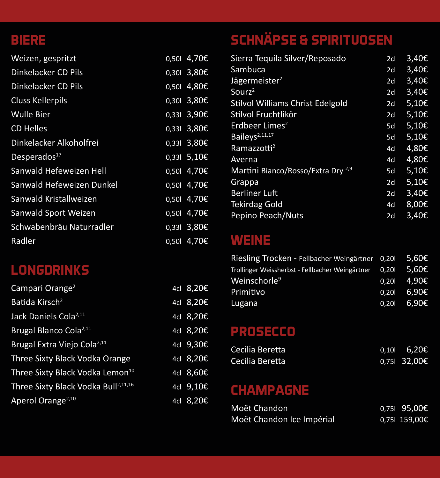#### **BIERE**

| Weizen, gespritzt         | 0,50  4,70€   |
|---------------------------|---------------|
| Dinkelacker CD Pils       | 0,30  3,80€   |
| Dinkelacker CD Pils       | $0,501$ 4,80€ |
| <b>Cluss Kellerpils</b>   | 0,30  3,80€   |
| <b>Wulle Bier</b>         | $0,331$ 3,90€ |
| <b>CD Helles</b>          | 0,331 3,80€   |
| Dinkelacker Alkoholfrei   | 0,331 3,80€   |
| Desperados <sup>17</sup>  | 0,331 5,10€   |
| Sanwald Hefeweizen Hell   | 0,50  4,70€   |
| Sanwald Hefeweizen Dunkel | 0,50  4,70€   |
| Sanwald Kristallweizen    | 0,50  4,70€   |
| Sanwald Sport Weizen      | 0,50  4,70€   |
| Schwabenbräu Naturradler  | 0,331 3,80€   |
| <b>Radler</b>             | 0,50  4,70€   |

#### **LONGDRINKS**

| Campari Orange <sup>2</sup>                     | 4cl $8,20E$  |
|-------------------------------------------------|--------------|
| Batida Kirsch <sup>2</sup>                      | 4cl $8,20E$  |
| Jack Daniels Cola <sup>2,11</sup>               | 4cl 8,20€    |
| Brugal Blanco Cola <sup>2,11</sup>              | 4cl 8,20€    |
| Brugal Extra Viejo Cola <sup>2,11</sup>         | 4cl $9,30$ € |
| Three Sixty Black Vodka Orange                  | 4cl 8,20€    |
| Three Sixty Black Vodka Lemon <sup>10</sup>     | 4cl 8,60€    |
| Three Sixty Black Vodka Bull <sup>2,11,16</sup> | 4cl 9,10€    |
| Aperol Orange <sup>2,10</sup>                   | 4cl 8,20€    |
|                                                 |              |

# **SCHNÄPSE & SPIRITUOSEN**

| Sierra Tequila Silver/Reposado                | 2 <sub>cl</sub> | $3,40$ € |
|-----------------------------------------------|-----------------|----------|
| Sambuca                                       | 2cl             | 3,40€    |
| Jägermeister <sup>2</sup>                     | 2c              | 3,40€    |
| Sourz <sup>2</sup>                            | 2cl             | 3,40€    |
| <b>Stilvol Williams Christ Edelgold</b>       | 2cl             | 5,10€    |
| Stilvol Fruchtlikör                           | 2cl             | 5,10€    |
| Erdbeer Limes <sup>2</sup>                    | 5cl             | 5,10€    |
| Baileys <sup>2,11,17</sup>                    | 5cl             | 5,10€    |
| Ramazzotti <sup>2</sup>                       | 4cl             | 4,80€    |
| Averna                                        | 4cl             | 4,80€    |
| Martini Bianco/Rosso/Extra Dry <sup>2,9</sup> | 5cl             | 5,10€    |
| Grappa                                        | 2cl             | 5,10€    |
| <b>Berliner Luft</b>                          | 2cl             | 3,40E    |
| <b>Tekirdag Gold</b>                          | 4cl             | 8,00€    |
| Pepino Peach/Nuts                             | 2cl             | 3,40€    |

#### **WEINE**

| Riesling Trocken - Fellbacher Weingärtner 0,201 $5,60 \in$  |               |
|-------------------------------------------------------------|---------------|
| Trollinger Weissherbst - Fellbacher Weingärtner 0,201 5,60€ |               |
| Weinschorle <sup>9</sup>                                    | $0,20$ 4,90€  |
| Primitivo                                                   | $0,201$ 6,90€ |
| Lugana                                                      | $0,201$ 6,90€ |

#### **PROSECCO**

| Cecilia Beretta | 0.10 | 6,20€        |
|-----------------|------|--------------|
| Cecilia Beretta |      | 0,75  32,00€ |

### **CHAMPAGNE**

| Moët Chandon              | 0,75l 95,00€  |
|---------------------------|---------------|
| Moët Chandon Ice Impérial | 0.75l 159.00€ |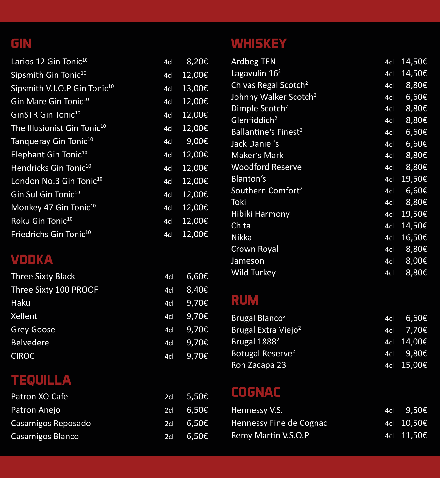#### **GIN**

| Larios 12 Gin Tonic <sup>10</sup>        | 4cl | 8,20€  |
|------------------------------------------|-----|--------|
| Sipsmith Gin Tonic <sup>10</sup>         | 4cl | 12,00€ |
| Sipsmith V.J.O.P Gin Tonic <sup>10</sup> | 4cl | 13,00€ |
| Gin Mare Gin Tonic <sup>10</sup>         | 4cl | 12,00€ |
| GinSTR Gin Tonic <sup>10</sup>           | 4cl | 12,00€ |
| The Illusionist Gin Tonic <sup>10</sup>  | 4cl | 12,00€ |
| Tangueray Gin Tonic <sup>10</sup>        | 4cl | 9,00€  |
| Elephant Gin Tonic <sup>10</sup>         | 4cl | 12,00€ |
| Hendricks Gin Tonic <sup>10</sup>        | 4cl | 12,00€ |
| London No.3 Gin Tonic <sup>10</sup>      | 4cl | 12,00€ |
| Gin Sul Gin Tonic <sup>10</sup>          | 4cl | 12,00€ |
| Monkey 47 Gin Tonic <sup>10</sup>        | 4cl | 12,00€ |
| Roku Gin Tonic <sup>10</sup>             | 4cl | 12,00€ |
| Friedrichs Gin Tonic <sup>10</sup>       | 4cl | 12,00€ |

#### **VODKA**

| <b>Three Sixty Black</b> | 4cl | 6,60€              |
|--------------------------|-----|--------------------|
| Three Sixty 100 PROOF    | 4cl | 8,40€              |
| Haku                     | 4cl | 9,70€              |
| Xellent                  | 4cl | 9,70€              |
| <b>Grey Goose</b>        | 4cl | 9,70 $\varepsilon$ |
| <b>Belvedere</b>         | 4cl | 9,70€              |
| <b>CIROC</b>             | 4cl | 9,70€              |

### **TEQUILLA**

| Patron XO Cafe     |     | 2cl 5,50€ |
|--------------------|-----|-----------|
| Patron Anejo       | 2cl | 6,50€     |
| Casamigos Reposado | 2cl | 6,50€     |
| Casamigos Blanco   | 2cl | 6,50€     |

### **WHISKEY**

| Ardbeg TEN                        | 4cl | 14,50€ |
|-----------------------------------|-----|--------|
| Lagavulin $162$                   | 4cl | 14,50€ |
| Chivas Regal Scotch <sup>2</sup>  | 4cl | 8,80€  |
| Johnny Walker Scotch <sup>2</sup> | 4cl | 6,60€  |
| Dimple Scotch <sup>2</sup>        | 4cl | 8,80€  |
| Glenfiddich <sup>2</sup>          | 4cl | 8,80€  |
| Ballantine's Finest <sup>2</sup>  | 4cl | 6,60€  |
| Jack Daniel's                     | 4cl | 6,60€  |
| Maker's Mark                      | 4cl | 8,80€  |
| <b>Woodford Reserve</b>           | 4cl | 8,80€  |
| Blanton's                         | 4cl | 19,50€ |
| Southern Comfort <sup>2</sup>     | 4cl | 6,60€  |
| Toki                              | 4cl | 8,80€  |
| <b>Hibiki Harmony</b>             | 4cl | 19,50€ |
| Chita                             | 4cl | 14,50€ |
| <b>Nikka</b>                      | 4cl | 16,50€ |
| Crown Royal                       | 4cl | 8,80€  |
| Jameson                           | 4cl | 8,00€  |
| Wild Turkey                       | 4cl | 8,80€  |

### **RUM**

| Brugal Blanco <sup>2</sup>      | 4cl 6,60€   |
|---------------------------------|-------------|
| Brugal Extra Viejo <sup>2</sup> | 4cl 7,70€   |
| Brugal 1888 <sup>2</sup>        | 4cl 14,00€  |
| Botugal Reserve <sup>2</sup>    | $4cI$ 9,80€ |
| Ron Zacapa 23                   | 4cl 15,00€  |

### **COGNAC**

| Hennessy V.S.           | 4cl 9,50€  |
|-------------------------|------------|
| Hennessy Fine de Cognac | 4cl 10,50€ |
| Remy Martin V.S.O.P.    | 4cl 11.50€ |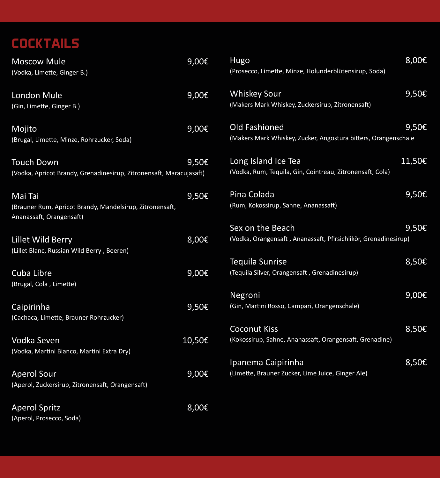### **COCKTAILS**

| <b>Moscow Mule</b>                                                  | 9,00€    | <b>Hugo</b>                                                     | 8,00€      |
|---------------------------------------------------------------------|----------|-----------------------------------------------------------------|------------|
| (Vodka, Limette, Ginger B.)                                         |          | (Prosecco, Limette, Minze, Holunderblütensirup, Soda)           |            |
| London Mule                                                         | 9,00€    | <b>Whiskey Sour</b>                                             | 9,50€      |
| (Gin, Limette, Ginger B.)                                           |          | (Makers Mark Whiskey, Zuckersirup, Zitronensaft)                |            |
| Mojito                                                              | $9,00$ € | Old Fashioned                                                   | 9,50€      |
| (Brugal, Limette, Minze, Rohrzucker, Soda)                          |          | (Makers Mark Whiskey, Zucker, Angostura bitters, Orangenschale  |            |
| <b>Touch Down</b>                                                   | 9,50€    | Long Island Ice Tea                                             | 11,50€     |
| (Vodka, Apricot Brandy, Grenadinesirup, Zitronensaft, Maracujasaft) |          | (Vodka, Rum, Tequila, Gin, Cointreau, Zitronensaft, Cola)       |            |
| Mai Tai                                                             | 9,50€    | Pina Colada                                                     | 9,50€      |
| (Brauner Rum, Apricot Brandy, Mandelsirup, Zitronensaft,            |          | (Rum, Kokossirup, Sahne, Ananassaft)                            |            |
| Ananassaft, Orangensaft)                                            |          |                                                                 |            |
|                                                                     |          | Sex on the Beach                                                | 9,50€      |
| Lillet Wild Berry                                                   | 8,00€    | (Vodka, Orangensaft, Ananassaft, Pfirsichlikör, Grenadinesirup) |            |
| (Lillet Blanc, Russian Wild Berry, Beeren)                          |          |                                                                 |            |
|                                                                     |          | <b>Tequila Sunrise</b>                                          | 8,50€      |
| Cuba Libre                                                          | 9,00€    | (Tequila Silver, Orangensaft, Grenadinesirup)                   |            |
| (Brugal, Cola, Limette)                                             |          |                                                                 |            |
|                                                                     |          | Negroni                                                         | $9,00 \in$ |
| Caipirinha                                                          | 9,50€    | (Gin, Martini Rosso, Campari, Orangenschale)                    |            |
| (Cachaca, Limette, Brauner Rohrzucker)                              |          |                                                                 |            |
|                                                                     |          | <b>Coconut Kiss</b>                                             | 8,50€      |
| Vodka Seven                                                         | 10,50€   | (Kokossirup, Sahne, Ananassaft, Orangensaft, Grenadine)         |            |
| (Vodka, Martini Bianco, Martini Extra Dry)                          |          |                                                                 |            |
|                                                                     |          | Ipanema Caipirinha                                              | 8,50€      |
| <b>Aperol Sour</b>                                                  | 9,00€    | (Limette, Brauner Zucker, Lime Juice, Ginger Ale)               |            |
| (Aperol, Zuckersirup, Zitronensaft, Orangensaft)                    |          |                                                                 |            |
|                                                                     |          |                                                                 |            |
| <b>Aperol Spritz</b>                                                | 8,00€    |                                                                 |            |
| (Aperol, Prosecco, Soda)                                            |          |                                                                 |            |